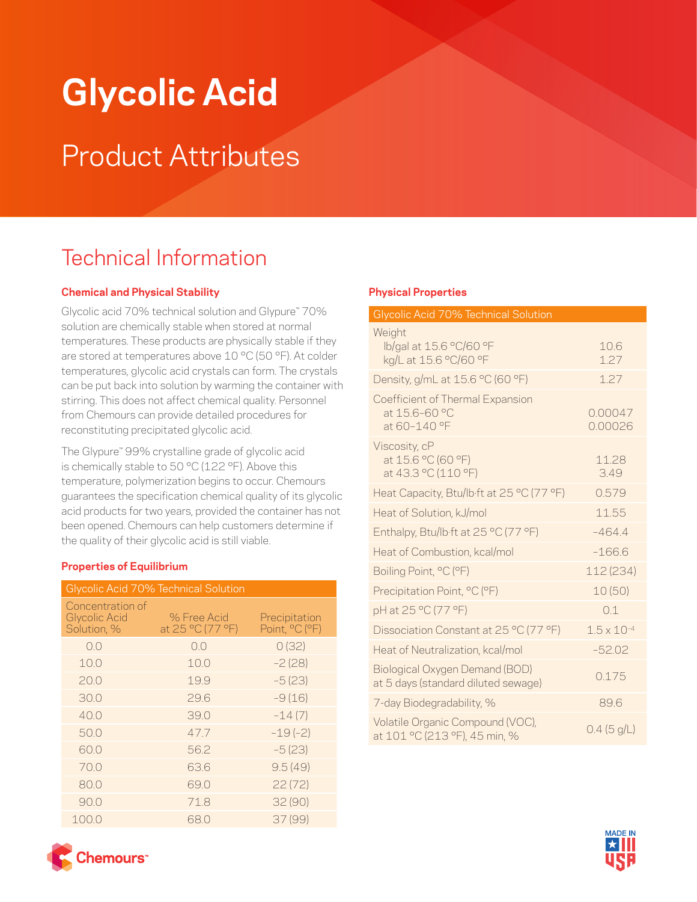# **Glycolic Acid**

## Product Attributes

### Technical Information

#### **Chemical and Physical Stability**

Glycolic acid 70% technical solution and Glypure™ 70% solution are chemically stable when stored at normal temperatures. These products are physically stable if they are stored at temperatures above 10 °C (50 °F). At colder temperatures, glycolic acid crystals can form. The crystals can be put back into solution by warming the container with stirring. This does not affect chemical quality. Personnel from Chemours can provide detailed procedures for reconstituting precipitated glycolic acid.

The Glypure™ 99% crystalline grade of glycolic acid is chemically stable to 50 °C (122 °F). Above this temperature, polymerization begins to occur. Chemours guarantees the specification chemical quality of its glycolic acid products for two years, provided the container has not been opened. Chemours can help customers determine if the quality of their glycolic acid is still viable.

#### **Properties of Equilibrium**

| Glycolic Acid 70% Technical Solution                    |                                 |                                 |
|---------------------------------------------------------|---------------------------------|---------------------------------|
| Concentration of<br><b>Glycolic Acid</b><br>Solution, % | % Free Acid<br>at 25 °C (77 °F) | Precipitation<br>Point, °C (°F) |
| 0.0                                                     | 0.0                             | 0(32)                           |
| 10.0                                                    | 10.0                            | $-2(28)$                        |
| 20.0                                                    | 19.9                            | $-5(23)$                        |
| 30.0                                                    | 29.6                            | $-9(16)$                        |
| 40.0                                                    | 39.0                            | $-14(7)$                        |
| 50.0                                                    | 47.7                            | $-19(-2)$                       |
| 60.0                                                    | 56.2                            | $-5(23)$                        |
| 70.0                                                    | 63.6                            | 9.5(49)                         |
| 80.0                                                    | 69.0                            | 22(72)                          |
| 90.0                                                    | 71.8                            | 32(90)                          |
| 100.0                                                   | 68.0                            | 37 (99)                         |

#### **Physical Properties**

| Glycolic Acid 70% Technical Solution                                  |                      |  |
|-----------------------------------------------------------------------|----------------------|--|
| Weight<br>lb/gal at 15.6 °C/60 °F<br>kg/L at 15.6 °C/60 °F            | 10.6<br>1.27         |  |
| Density, g/mL at 15.6 °C (60 °F)                                      | 1.27                 |  |
| Coefficient of Thermal Expansion<br>at 15.6-60 °C<br>at 60-140 °F     | 0.00047<br>0.00026   |  |
| Viscosity, cP<br>at 15.6 °C (60 °F)<br>at 43.3 °C (110 °F)            | 11.28<br>3.49        |  |
| Heat Capacity, Btu/lb·ft at 25 °C (77 °F)                             | 0.579                |  |
| Heat of Solution, kJ/mol                                              | 11.55                |  |
| Enthalpy, Btu/lb·ft at 25 °C (77 °F)                                  | $-464.4$             |  |
| Heat of Combustion, kcal/mol                                          | $-1666$              |  |
| Boiling Point, °C (°F)                                                | 112 (234)            |  |
| Precipitation Point, °C (°F)                                          | 10(50)               |  |
| pH at 25 °C (77 °F)                                                   | 0.1                  |  |
| Dissociation Constant at 25 °C (77 °F)                                | $1.5 \times 10^{-4}$ |  |
| Heat of Neutralization, kcal/mol                                      | $-52.02$             |  |
| Biological Oxygen Demand (BOD)<br>at 5 days (standard diluted sewage) | 0.175                |  |
| 7-day Biodegradability, %                                             | 896                  |  |
| Volatile Organic Compound (VOC),<br>at 101 °C (213 °F), 45 min, %     | 0.4 (5 g/L)          |  |